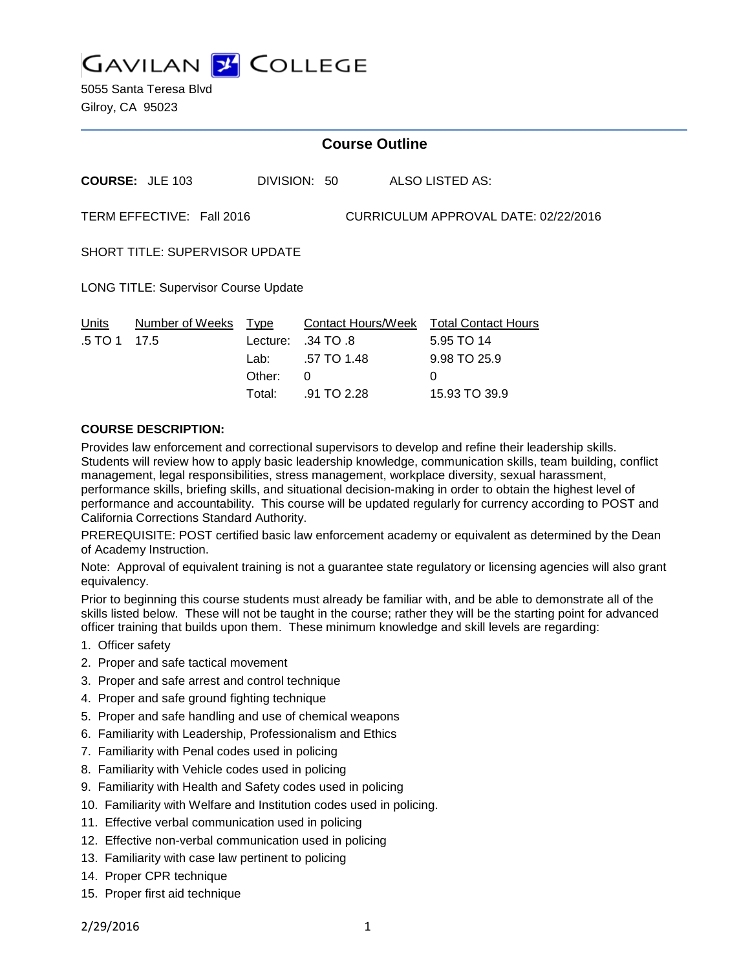

5055 Santa Teresa Blvd Gilroy, CA 95023

## **Course Outline**

| ALSO LISTED AS:<br><b>COURSE: JLE 103</b><br>DIVISION: 50 |  |
|-----------------------------------------------------------|--|
|-----------------------------------------------------------|--|

TERM EFFECTIVE: Fall 2016 CURRICULUM APPROVAL DATE: 02/22/2016

SHORT TITLE: SUPERVISOR UPDATE

LONG TITLE: Supervisor Course Update

|                | Contact Hours/Week Total Contact Hours |                                                                                  |
|----------------|----------------------------------------|----------------------------------------------------------------------------------|
|                |                                        | 5.95 TO 14                                                                       |
| Lab: Lab       |                                        | 9.98 TO 25.9                                                                     |
| Other:         |                                        | $\Omega$                                                                         |
| Total:         |                                        | 15.93 TO 39.9                                                                    |
| $.5$ TO 1 17.5 | <u>Number of Weeks Type</u>            | Lecture: $.34 \text{ TO } .8$<br>.57 TO 1.48<br>$\overline{a}$<br>$91\,$ TO 2.28 |

#### **COURSE DESCRIPTION:**

Provides law enforcement and correctional supervisors to develop and refine their leadership skills. Students will review how to apply basic leadership knowledge, communication skills, team building, conflict management, legal responsibilities, stress management, workplace diversity, sexual harassment, performance skills, briefing skills, and situational decision-making in order to obtain the highest level of performance and accountability. This course will be updated regularly for currency according to POST and California Corrections Standard Authority.

PREREQUISITE: POST certified basic law enforcement academy or equivalent as determined by the Dean of Academy Instruction.

Note: Approval of equivalent training is not a guarantee state regulatory or licensing agencies will also grant equivalency.

Prior to beginning this course students must already be familiar with, and be able to demonstrate all of the skills listed below. These will not be taught in the course; rather they will be the starting point for advanced officer training that builds upon them. These minimum knowledge and skill levels are regarding:

- 1. Officer safety
- 2. Proper and safe tactical movement
- 3. Proper and safe arrest and control technique
- 4. Proper and safe ground fighting technique
- 5. Proper and safe handling and use of chemical weapons
- 6. Familiarity with Leadership, Professionalism and Ethics
- 7. Familiarity with Penal codes used in policing
- 8. Familiarity with Vehicle codes used in policing
- 9. Familiarity with Health and Safety codes used in policing
- 10. Familiarity with Welfare and Institution codes used in policing.
- 11. Effective verbal communication used in policing
- 12. Effective non-verbal communication used in policing
- 13. Familiarity with case law pertinent to policing
- 14. Proper CPR technique
- 15. Proper first aid technique

2/29/2016 1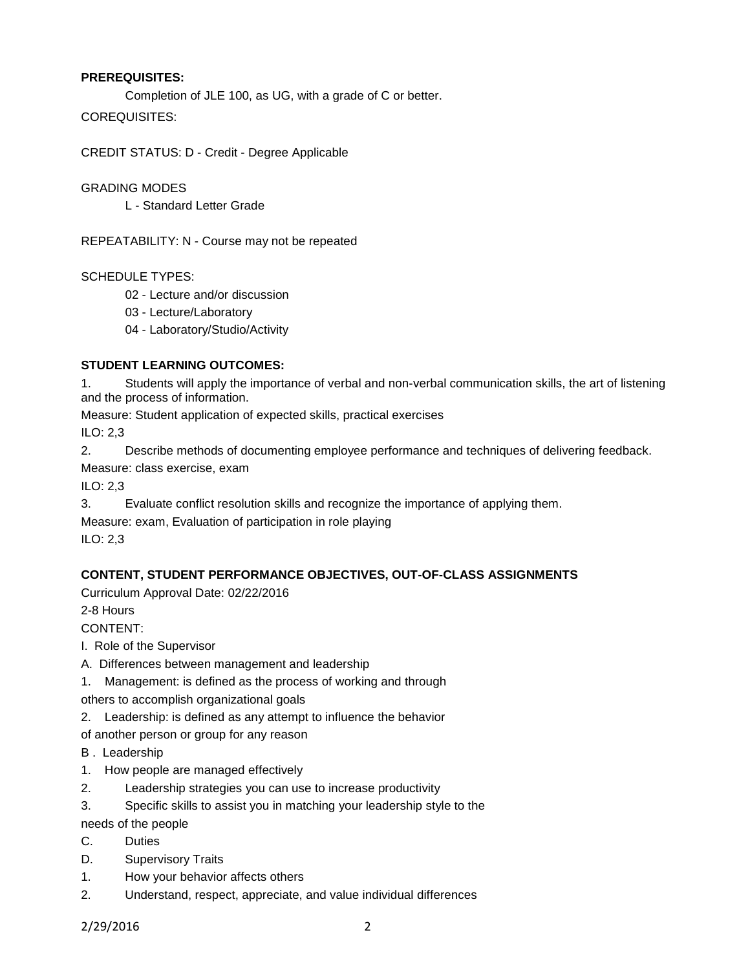### **PREREQUISITES:**

Completion of JLE 100, as UG, with a grade of C or better.

COREQUISITES:

CREDIT STATUS: D - Credit - Degree Applicable

GRADING MODES

L - Standard Letter Grade

REPEATABILITY: N - Course may not be repeated

### SCHEDULE TYPES:

- 02 Lecture and/or discussion
- 03 Lecture/Laboratory
- 04 Laboratory/Studio/Activity

### **STUDENT LEARNING OUTCOMES:**

1. Students will apply the importance of verbal and non-verbal communication skills, the art of listening and the process of information.

Measure: Student application of expected skills, practical exercises

ILO: 2,3

2. Describe methods of documenting employee performance and techniques of delivering feedback.

Measure: class exercise, exam

ILO: 2,3

3. Evaluate conflict resolution skills and recognize the importance of applying them.

Measure: exam, Evaluation of participation in role playing

ILO: 2,3

## **CONTENT, STUDENT PERFORMANCE OBJECTIVES, OUT-OF-CLASS ASSIGNMENTS**

Curriculum Approval Date: 02/22/2016

2-8 Hours

CONTENT:

I. Role of the Supervisor

A. Differences between management and leadership

1. Management: is defined as the process of working and through

others to accomplish organizational goals

2. Leadership: is defined as any attempt to influence the behavior

of another person or group for any reason

- B . Leadership
- 1. How people are managed effectively
- 2. Leadership strategies you can use to increase productivity
- 3. Specific skills to assist you in matching your leadership style to the

needs of the people

- C. Duties
- D. Supervisory Traits
- 1. How your behavior affects others
- 2. Understand, respect, appreciate, and value individual differences

2/29/2016 2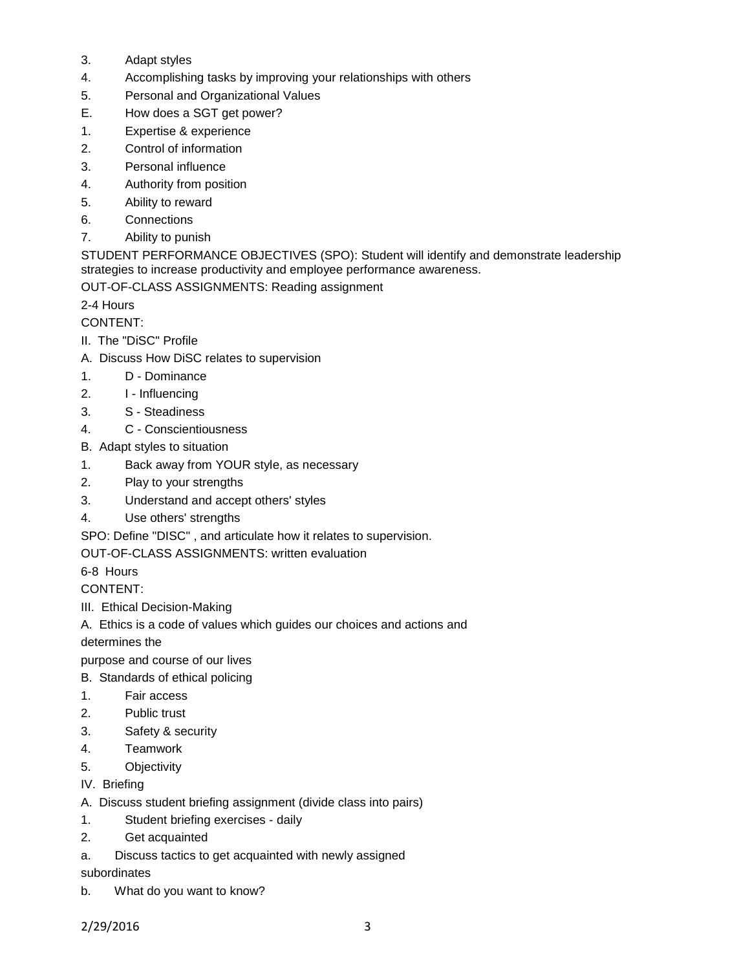- 3. Adapt styles
- 4. Accomplishing tasks by improving your relationships with others
- 5. Personal and Organizational Values
- E. How does a SGT get power?
- 1. Expertise & experience
- 2. Control of information
- 3. Personal influence
- 4. Authority from position
- 5. Ability to reward
- 6. Connections
- 7. Ability to punish

STUDENT PERFORMANCE OBJECTIVES (SPO): Student will identify and demonstrate leadership strategies to increase productivity and employee performance awareness.

OUT-OF-CLASS ASSIGNMENTS: Reading assignment

2-4 Hours

CONTENT:

- II. The "DiSC" Profile
- A. Discuss How DiSC relates to supervision
- 1. D Dominance
- 2. I Influencing
- 3. S Steadiness
- 4. C Conscientiousness
- B. Adapt styles to situation
- 1. Back away from YOUR style, as necessary
- 2. Play to your strengths
- 3. Understand and accept others' styles
- 4. Use others' strengths
- SPO: Define "DISC" , and articulate how it relates to supervision.

OUT-OF-CLASS ASSIGNMENTS: written evaluation

6-8 Hours

CONTENT:

III. Ethical Decision-Making

A. Ethics is a code of values which guides our choices and actions and

determines the

purpose and course of our lives

- B. Standards of ethical policing
- 1. Fair access
- 2. Public trust
- 3. Safety & security
- 4. Teamwork
- 5. Objectivity
- IV. Briefing
- A. Discuss student briefing assignment (divide class into pairs)
- 1. Student briefing exercises daily
- 2. Get acquainted
- a. Discuss tactics to get acquainted with newly assigned

subordinates

b. What do you want to know?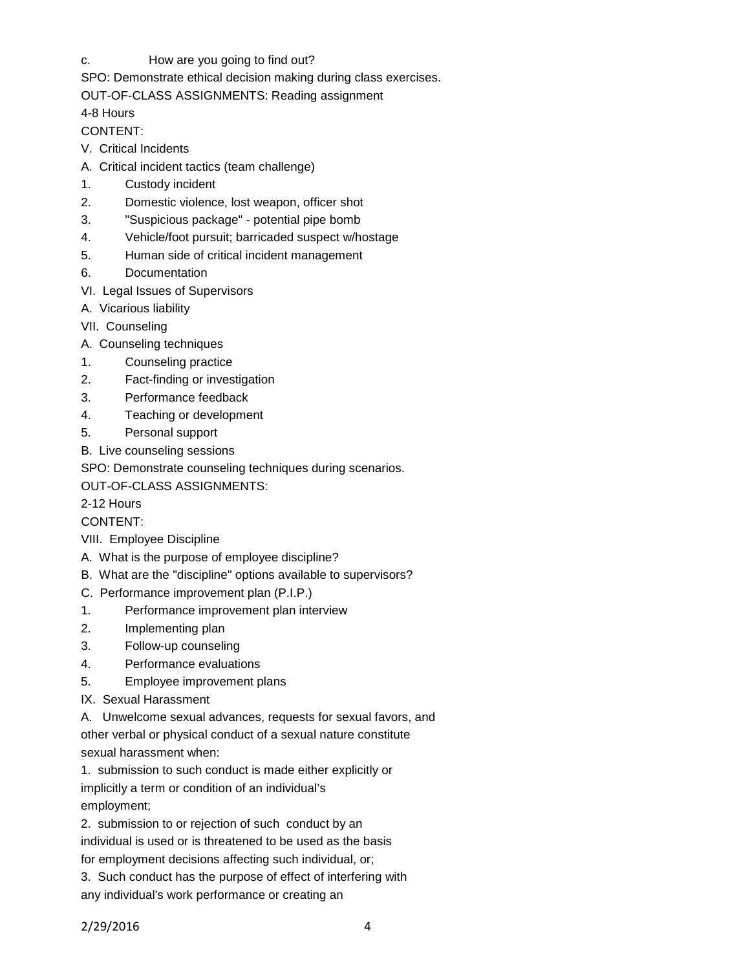c. How are you going to find out?

SPO: Demonstrate ethical decision making during class exercises.

OUT-OF-CLASS ASSIGNMENTS: Reading assignment

4-8 Hours

## CONTENT:

- V. Critical Incidents
- A. Critical incident tactics (team challenge)
- 1. Custody incident
- 2. Domestic violence, lost weapon, officer shot
- 3. "Suspicious package" potential pipe bomb
- 4. Vehicle/foot pursuit; barricaded suspect w/hostage
- 5. Human side of critical incident management
- 6. Documentation
- VI. Legal Issues of Supervisors
- A. Vicarious liability
- VII. Counseling
- A. Counseling techniques
- 1. Counseling practice
- 2. Fact-finding or investigation
- 3. Performance feedback
- 4. Teaching or development
- 5. Personal support
- B. Live counseling sessions

SPO: Demonstrate counseling techniques during scenarios.

OUT-OF-CLASS ASSIGNMENTS:

# 2-12 Hours

# CONTENT:

- VIII. Employee Discipline
- A. What is the purpose of employee discipline?
- B. What are the "discipline" options available to supervisors?
- C. Performance improvement plan (P.I.P.)
- 1. Performance improvement plan interview
- 2. Implementing plan
- 3. Follow-up counseling
- 4. Performance evaluations
- 5. Employee improvement plans
- IX. Sexual Harassment

A. Unwelcome sexual advances, requests for sexual favors, and other verbal or physical conduct of a sexual nature constitute sexual harassment when:

1. submission to such conduct is made either explicitly or

implicitly a term or condition of an individual's employment;

2. submission to or rejection of such conduct by an individual is used or is threatened to be used as the basis for employment decisions affecting such individual, or;

3. Such conduct has the purpose of effect of interfering with any individual's work performance or creating an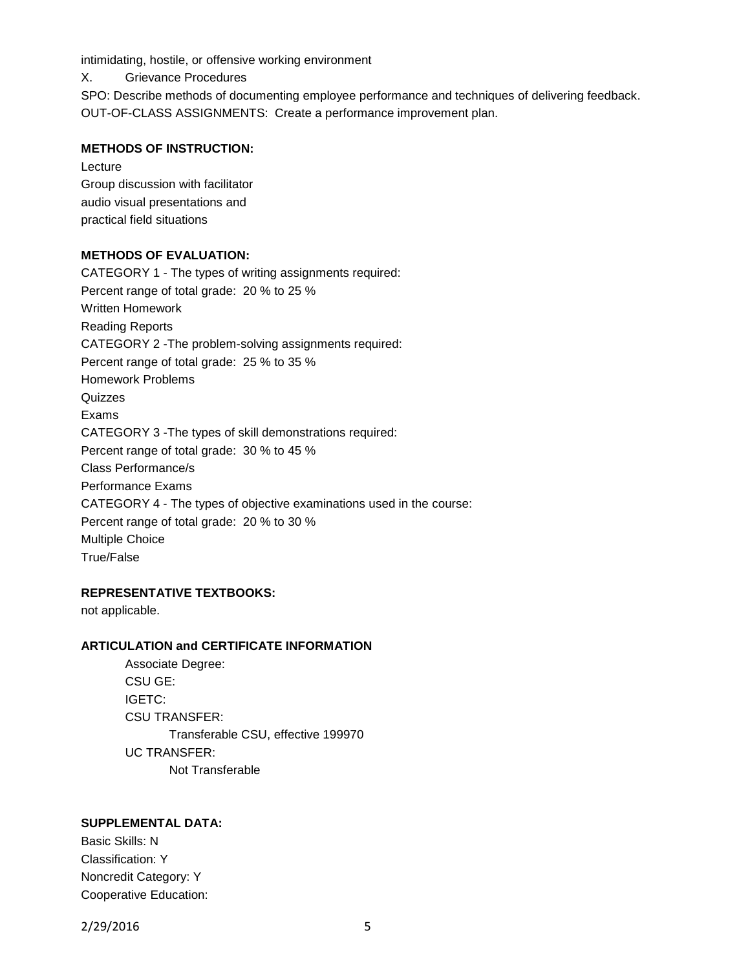intimidating, hostile, or offensive working environment

X. Grievance Procedures

SPO: Describe methods of documenting employee performance and techniques of delivering feedback. OUT-OF-CLASS ASSIGNMENTS: Create a performance improvement plan.

### **METHODS OF INSTRUCTION:**

Lecture Group discussion with facilitator audio visual presentations and practical field situations

### **METHODS OF EVALUATION:**

CATEGORY 1 - The types of writing assignments required: Percent range of total grade: 20 % to 25 % Written Homework Reading Reports CATEGORY 2 -The problem-solving assignments required: Percent range of total grade: 25 % to 35 % Homework Problems **Quizzes** Exams CATEGORY 3 -The types of skill demonstrations required: Percent range of total grade: 30 % to 45 % Class Performance/s Performance Exams CATEGORY 4 - The types of objective examinations used in the course: Percent range of total grade: 20 % to 30 % Multiple Choice True/False

### **REPRESENTATIVE TEXTBOOKS:**

not applicable.

### **ARTICULATION and CERTIFICATE INFORMATION**

Associate Degree: CSU GE: IGETC: CSU TRANSFER: Transferable CSU, effective 199970 UC TRANSFER: Not Transferable

## **SUPPLEMENTAL DATA:**

Basic Skills: N Classification: Y Noncredit Category: Y Cooperative Education:

2/29/2016 5